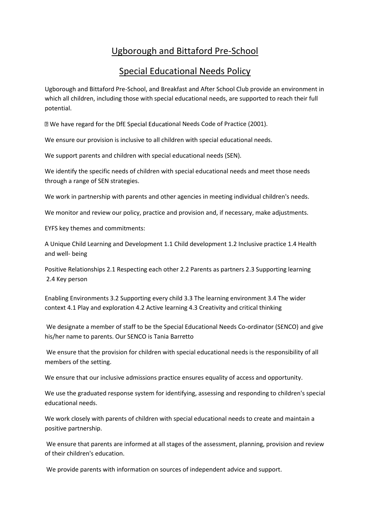## Ugborough and Bittaford Pre-School

## Special Educational Needs Policy

Ugborough and Bittaford Pre-School, and Breakfast and After School Club provide an environment in which all children, including those with special educational needs, are supported to reach their full potential.

I We have regard for the DfE Special Educational Needs Code of Practice (2001).

We ensure our provision is inclusive to all children with special educational needs.

We support parents and children with special educational needs (SEN).

We identify the specific needs of children with special educational needs and meet those needs through a range of SEN strategies.

We work in partnership with parents and other agencies in meeting individual children's needs.

We monitor and review our policy, practice and provision and, if necessary, make adjustments.

EYFS key themes and commitments:

A Unique Child Learning and Development 1.1 Child development 1.2 Inclusive practice 1.4 Health and well- being

Positive Relationships 2.1 Respecting each other 2.2 Parents as partners 2.3 Supporting learning 2.4 Key person

Enabling Environments 3.2 Supporting every child 3.3 The learning environment 3.4 The wider context 4.1 Play and exploration 4.2 Active learning 4.3 Creativity and critical thinking

We designate a member of staff to be the Special Educational Needs Co-ordinator (SENCO) and give his/her name to parents. Our SENCO is Tania Barretto

We ensure that the provision for children with special educational needs is the responsibility of all members of the setting.

We ensure that our inclusive admissions practice ensures equality of access and opportunity.

We use the graduated response system for identifying, assessing and responding to children's special educational needs.

We work closely with parents of children with special educational needs to create and maintain a positive partnership.

We ensure that parents are informed at all stages of the assessment, planning, provision and review of their children's education.

We provide parents with information on sources of independent advice and support.